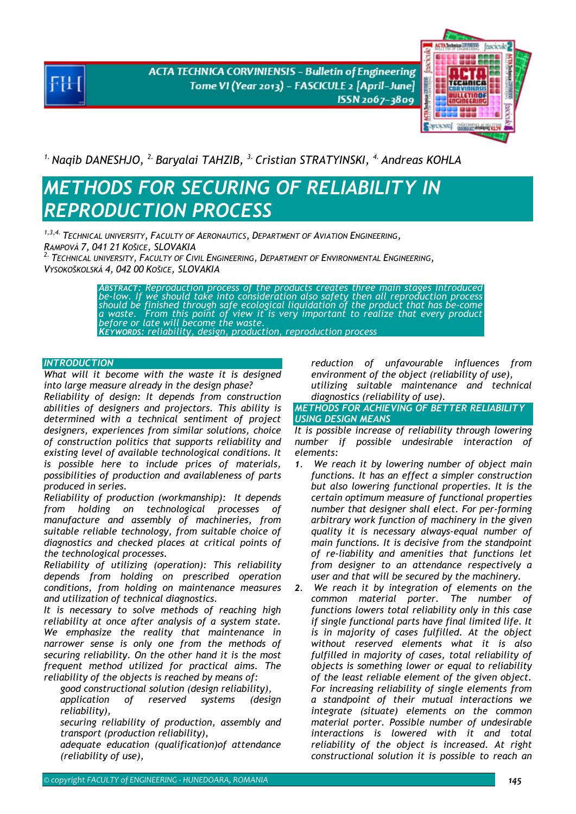**ACTA TECHNICA CORVINIENSIS - Bulletin of Engineering** Tome VI (Year 2013) - FASCICULE 2 [April-June] ISSN 2067-3809



<sup>1.</sup> Naqib DANESHJO, <sup>2.</sup> Baryalai TAHZIB, <sup>3.</sup> Cristian STRATYINSKI, <sup>4.</sup> Andreas KOHLA

# *METHODS FOR SECURING OF RELIABILITY IN REPRODUCTION PROCESS*

*1,3,4. TECHNICAL UNIVERSITY, FACULTY OF AERONAUTICS, DEPARTMENT OF AVIATION ENGINEERING, RAMPOVÁ 7, 041 21 KOŠICE, SLOVAKIA 2. TECHNICAL UNIVERSITY, FACULTY OF CIVIL ENGINEERING, DEPARTMENT OF ENVIRONMENTAL ENGINEERING,*

*VYSOKOŠKOLSKÁ 4, 042 00 KOŠICE, SLOVAKIA* 

ABSTRACT: Reproduction process of the products creates three main stages introduced<br>be-low. If we should take into consideration also safety then all reproduction process<br>should be finished through safe ecological liquidat *KEYWORDS: reliability, design, production, reproduction process* 

## *INTRODUCTION*

*What will it become with the waste it is designed into large measure already in the design phase?* 

*Reliability of design: It depends from construction abilities of designers and projectors. This ability is determined with a technical sentiment of project designers, experiences from similar solutions, choice of construction politics that supports reliability and existing level of available technological conditions. It is possible here to include prices of materials, possibilities of production and availableness of parts produced in series.* 

*Reliability of production (workmanship): It depends from holding on technological processes of manufacture and assembly of machineries, from suitable reliable technology, from suitable choice of diagnostics and checked places at critical points of the technological processes.* 

*Reliability of utilizing (operation): This reliability depends from holding on prescribed operation conditions, from holding on maintenance measures and utilization of technical diagnostics.* 

*It is necessary to solve methods of reaching high reliability at once after analysis of a system state. We emphasize the reality that maintenance in narrower sense is only one from the methods of securing reliability. On the other hand it is the most frequent method utilized for practical aims. The reliability of the objects is reached by means of:*

 *good constructional solution (design reliability), application of reserved systems (design reliability),* 

 *securing reliability of production, assembly and transport (production reliability),* 

 *adequate education (qualification)of attendance (reliability of use),* 

 *reduction of unfavourable influences from environment of the object (reliability of use), utilizing suitable maintenance and technical diagnostics (reliability of use).* 

## *METHODS FOR ACHIEVING OF BETTER RELIABILITY USING DESIGN MEANS*

*It is possible increase of reliability through lowering number if possible undesirable interaction of elements:* 

- *1. We reach it by lowering number of object main functions. It has an effect a simpler construction but also lowering functional properties. It is the certain optimum measure of functional properties number that designer shall elect. For per-forming arbitrary work function of machinery in the given quality it is necessary always-equal number of main functions. It is decisive from the standpoint of re-liability and amenities that functions let from designer to an attendance respectively a user and that will be secured by the machinery.*
- *2. We reach it by integration of elements on the common material porter. The number of functions lowers total reliability only in this case if single functional parts have final limited life. It is in majority of cases fulfilled. At the object without reserved elements what it is also fulfilled in majority of cases, total reliability of objects is something lower or equal to reliability of the least reliable element of the given object. For increasing reliability of single elements from a standpoint of their mutual interactions we integrate (situate) elements on the common material porter. Possible number of undesirable interactions is lowered with it and total reliability of the object is increased. At right constructional solution it is possible to reach an*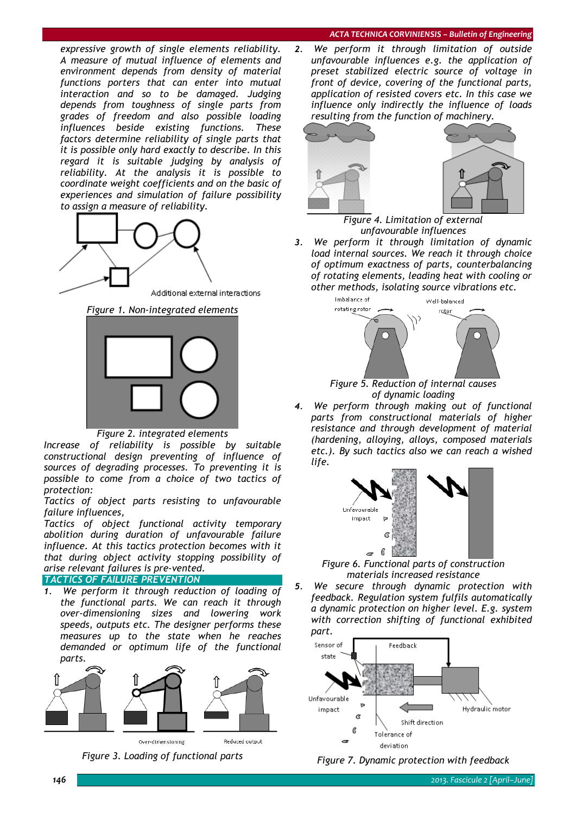#### *ACTA TECHNICA CORVINIENSIS – Bulletin of Engineering*

*expressive growth of single elements reliability. A measure of mutual influence of elements and environment depends from density of material functions porters that can enter into mutual interaction and so to be damaged. Judging depends from toughness of single parts from grades of freedom and also possible loading influences beside existing functions. These factors determine reliability of single parts that it is possible only hard exactly to describe. In this regard it is suitable judging by analysis of reliability. At the analysis it is possible to coordinate weight coefficients and on the basic of experiences and simulation of failure possibility to assign a measure of reliability.* 



Additional external interactions

*Figure 1. Non-integrated elements* 



*Figure 2. integrated elements* 

*Increase of reliability is possible by suitable constructional design preventing of influence of sources of degrading processes. To preventing it is possible to come from a choice of two tactics of protection:* 

*Tactics of object parts resisting to unfavourable failure influences,* 

*Tactics of object functional activity temporary abolition during duration of unfavourable failure influence. At this tactics protection becomes with it that during object activity stopping possibility of arise relevant failures is pre-vented.* 

# **TACTICS OF FAILURE PREVENTION**

*1. We perform it through reduction of loading of the functional parts. We can reach it through over-dimensioning sizes and lowering work speeds, outputs etc. The designer performs these measures up to the state when he reaches demanded or optimum life of the functional parts.* 







Reduced output

Over-dimensioning

*Figure 3. Loading of functional parts* 

*2. We perform it through limitation of outside unfavourable influences e.g. the application of preset stabilized electric source of voltage in front of device, covering of the functional parts, application of resisted covers etc. In this case we influence only indirectly the influence of loads resulting from the function of machinery.* 



*Figure 4. Limitation of external unfavourable influences* 

*3. We perform it through limitation of dynamic load internal sources. We reach it through choice of optimum exactness of parts, counterbalancing of rotating elements, leading heat with cooling or other methods, isolating source vibrations etc.* 



*Figure 5. Reduction of internal causes of dynamic loading* 

*4. We perform through making out of functional parts from constructional materials of higher resistance and through development of material (hardening, alloying, alloys, composed materials etc.). By such tactics also we can reach a wished life.* 



*Figure 6. Functional parts of construction materials increased resistance* 

*5. We secure through dynamic protection with feedback. Regulation system fulfils automatically a dynamic protection on higher level. E.g. system with correction shifting of functional exhibited part.* 



*Figure 7. Dynamic protection with feedback*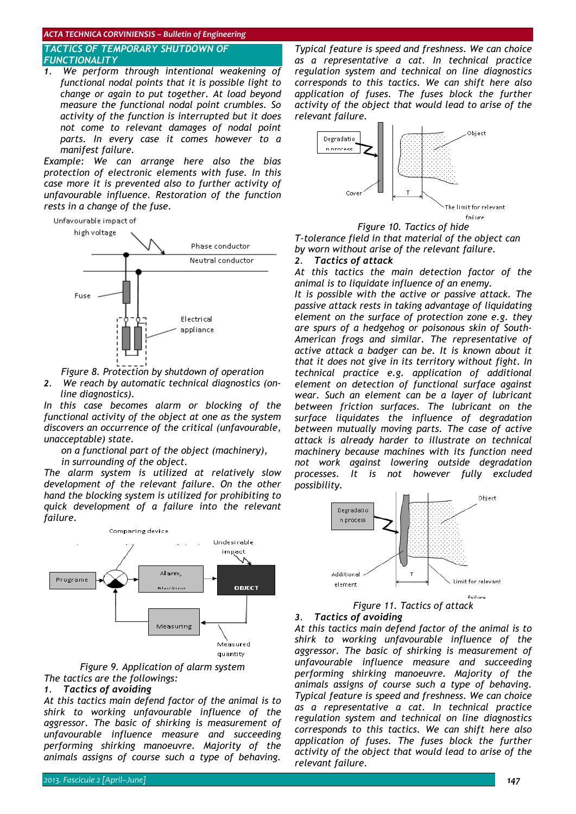### *ACTA TECHNICA CORVINIENSIS – Bulletin of Engineering*

# *TACTICS OF TEMPORARY SHUTDOWN OF FUNCTIONALITY*

*1. We perform through intentional weakening of functional nodal points that it is possible light to change or again to put together. At load beyond measure the functional nodal point crumbles. So activity of the function is interrupted but it does not come to relevant damages of nodal point parts. In every case it comes however to a manifest failure.* 

*Example: We can arrange here also the bias protection of electronic elements with fuse. In this case more it is prevented also to further activity of unfavourable influence. Restoration of the function rests in a change of the fuse.* 



*Figure 8. Protection by shutdown of operation* 

*2. We reach by automatic technical diagnostics (online diagnostics).* 

*In this case becomes alarm or blocking of the functional activity of the object at one as the system discovers an occurrence of the critical (unfavourable, unacceptable) state.* 

*on a functional part of the object (machinery),* 

*in surrounding of the object.* 

*The alarm system is utilized at relatively slow development of the relevant failure. On the other hand the blocking system is utilized for prohibiting to quick development of a failure into the relevant failure.* 



## *Figure 9. Application of alarm system The tactics are the followings:*

#### *1. Tactics of avoiding*

*At this tactics main defend factor of the animal is to shirk to working unfavourable influence of the aggressor. The basic of shirking is measurement of unfavourable influence measure and succeeding performing shirking manoeuvre. Majority of the animals assigns of course such a type of behaving.* 

*Typical feature is speed and freshness. We can choice as a representative a cat. In technical practice regulation system and technical on line diagnostics corresponds to this tactics. We can shift here also application of fuses. The fuses block the further activity of the object that would lead to arise of the relevant failure.* 



*Figure 10. Tactics of hide T-tolerance field in that material of the object can by worn without arise of the relevant failure. 2. Tactics of attack*

*At this tactics the main detection factor of the animal is to liquidate influence of an enemy.* 

failure

*It is possible with the active or passive attack. The passive attack rests in taking advantage of liquidating element on the surface of protection zone e.g. they are spurs of a hedgehog or poisonous skin of South-American frogs and similar. The representative of active attack a badger can be. It is known about it that it does not give in its territory without fight. In technical practice e.g. application of additional element on detection of functional surface against wear. Such an element can be a layer of lubricant between friction surfaces. The lubricant on the surface liquidates the influence of degradation between mutually moving parts. The case of active attack is already harder to illustrate on technical machinery because machines with its function need not work against lowering outside degradation processes. It is not however fully excluded possibility.* 



*Figure 11. Tactics of attack* 

# *3. Tactics of avoiding At this tactics main defend factor of the animal is to*

*shirk to working unfavourable influence of the aggressor. The basic of shirking is measurement of unfavourable influence measure and succeeding performing shirking manoeuvre. Majority of the animals assigns of course such a type of behaving. Typical feature is speed and freshness. We can choice as a representative a cat. In technical practice regulation system and technical on line diagnostics corresponds to this tactics. We can shift here also application of fuses. The fuses block the further activity of the object that would lead to arise of the relevant failure.*